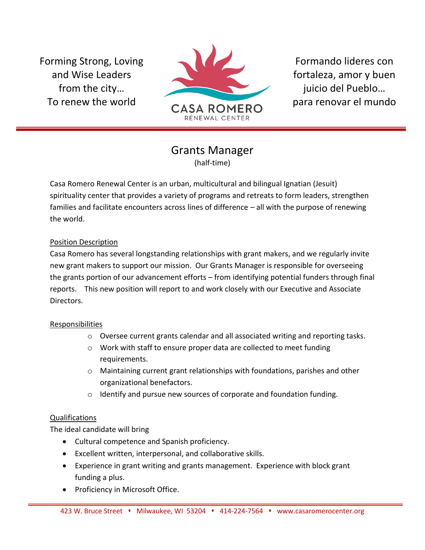Forming Strong, Loving and Wise Leaders from the city… To renew the world



Formando lideres con fortaleza, amor y buen juicio del Pueblo… para renovar el mundo

## Grants Manager (half-time)

Casa Romero Renewal Center is an urban, multicultural and bilingual Ignatian (Jesuit) spirituality center that provides a variety of programs and retreats to form leaders, strengthen families and facilitate encounters across lines of difference – all with the purpose of renewing the world.

## Position Description

Casa Romero has several longstanding relationships with grant makers, and we regularly invite new grant makers to support our mission. Our Grants Manager is responsible for overseeing the grants portion of our advancement efforts – from identifying potential funders through final reports. This new position will report to and work closely with our Executive and Associate Directors.

## Responsibilities

- o Oversee current grants calendar and all associated writing and reporting tasks.
- o Work with staff to ensure proper data are collected to meet funding requirements.
- o Maintaining current grant relationships with foundations, parishes and other organizational benefactors.
- o Identify and pursue new sources of corporate and foundation funding.

## Qualifications

The ideal candidate will bring

- Cultural competence and Spanish proficiency.
- Excellent written, interpersonal, and collaborative skills.
- Experience in grant writing and grants management. Experience with block grant funding a plus.
- Proficiency in Microsoft Office.